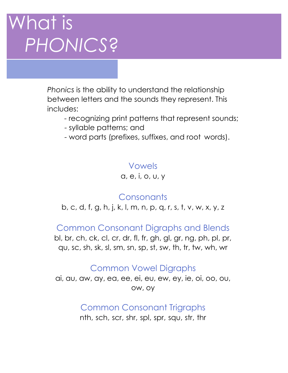# What is *PHONICS*?

*Phonics* is the ability to understand the relationship between letters and the sounds they represent. This includes:

- recognizing print patterns that represent sounds;
- syllable patterns; and
- word parts (prefixes, suffixes, and root words).

#### Vowels

a, e, i, o, u, y

### **Consonants**

b, c, d, f, g, h, j, k, l, m, n, p, q, r, s, t, v, w, x, y, z

Common Consonant Digraphs and Blends

bl, br, ch, ck, cl, cr, dr, fl, fr, gh, gl, gr, ng, ph, pl, pr, qu, sc, sh, sk, sl, sm, sn, sp, st, sw, th, tr, tw, wh, wr

#### Common Vowel Digraphs

ai, au, aw, ay, ea, ee, ei, eu, ew, ey, ie, oi, oo, ou, ow, oy

> Common Consonant Trigraphs nth, sch, scr, shr, spl, spr, squ, str, thr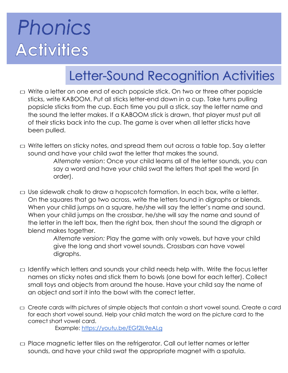# **Phonics Activities**

## Letter-Sound Recognition Activities

- $\Box$  Write a letter on one end of each popsicle stick. On two or three other popsicle sticks, write KABOOM. Put all sticks letter-end down in a cup. Take turns pulling popsicle sticks from the cup. Each time you pull a stick, say the letter name and the sound the letter makes. If a KABOOM stick is drawn, that player must put all of their sticks back into the cup. The game is over when all letter sticks have been pulled.
- $\Box$  Write letters on sticky notes, and spread them out across a table top. Say a letter sound and have your child swat the letter that makes the sound. *Alternate version*: Once your child learns all of the letter sounds, you can say a word and have your child swat the letters that spell the word (in order).
- $\Box$  Use sidewalk chalk to draw a hopscotch formation. In each box, write a letter. On the squares that go two across, write the letters found in digraphs or blends. When your child jumps on a square, he/she will say the letter's name and sound. When your child jumps on the crossbar, he/she will say the name and sound of the letter in the left box, then the right box, then shout the sound the digraph or blend makes together.

*Alternate version:* Play the game with only vowels, but have your child give the long and short vowel sounds. Crossbars can have vowel digraphs.

- $\Box$  Identify which letters and sounds your child needs help with. Write the focus letter names on sticky notes and stick them to bowls (one bowl for each letter). Collect small toys and objects from around the house. Have your child say the name of an object and sort it into the bowl with the correct letter.
- □ Create cards with pictures of simple objects that contain a short vowel sound. Create a card for each short vowel sound. Help your child match the word on the picture card to the correct short vowel card.

Example:<https://youtu.be/EGf2lL9eALg>

 $\Box$  Place magnetic letter tiles on the refrigerator. Call out letter names or letter sounds, and have your child swat the appropriate magnet with a spatula.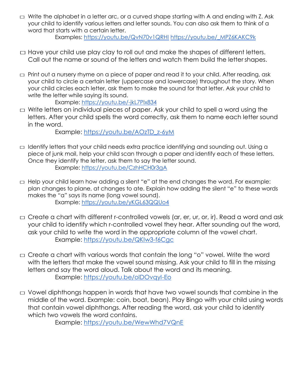$\Box$  Write the alphabet in a letter arc, or a curved shape starting with A and ending with Z. Ask your child to identify various letters and letter sounds. You can also ask them to think of a word that starts with a certain letter.

Examples:<https://youtu.be/QvN70v1QRHI> [https://youtu.be/\\_MPZ6KAKC9k](https://youtu.be/_MPZ6KAKC9k)

- $\Box$  Have your child use play clay to roll out and make the shapes of different letters. Call out the name or sound of the letters and watch them build the letter shapes.
- $\Box$  Print out a nursery rhyme on a piece of paper and read it to your child. After reading, ask your child to circle a certain letter (uppercase and lowercase) throughout the story. When your child circles each letter, ask them to make the sound for that letter. Ask your child to write the letter while saying its sound.

Example:<https://youtu.be/-jkL7Plx834>

 $\Box$  Write letters on individual pieces of paper. Ask your child to spell a word using the letters. After your child spells the word correctly, ask them to name each letter sound in the word.

Example: [https://youtu.be/AOzTD\\_z-6yM](https://youtu.be/AOzTD_z-6yM)

- $\Box$  Identify letters that your child needs extra practice identifying and sounding out. Using a piece of junk mail, help your child scan through a paper and identify each of these letters. Once they identify the letter, ask them to say the letter sound. Example:<https://youtu.be/CzhHCH0r3gA>
- $\Box$  Help your child learn how adding a silent "e" at the end changes the word. For example: plan changes to plane, at changes to ate. Explain how adding the silent "e" to these words makes the "a" says its name (long vowel sound). Example:<https://youtu.be/yKGL63QQUo4>
- $\Box$  Create a chart with different r-controlled vowels (ar, er, ur, or, ir). Read a word and ask your child to identify which r-controlled vowel they hear. After sounding out the word, ask your child to write the word in the appropriate column of the vowel chart. Example:<https://youtu.be/QKIw3-f6Cgc>
- □ Create a chart with various words that contain the long "o" vowel. Write the word with the letters that make the vowel sound missing. Ask your child to fill in the missing letters and say the word aloud. Talk about the word and its meaning. Example:<https://youtu.be/olDOvqyI-Eo>
- $\Box$  Vowel diphthongs happen in words that have two vowel sounds that combine in the middle of the word. Example: coin, boat, bean). Play Bingo with your child using words that contain vowel diphthongs. After reading the word, ask your child to identify which two vowels the word contains.

Example:<https://youtu.be/WewWhd7VQnE>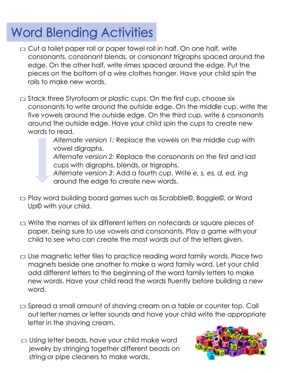## **Word Blending Activities**

- $\Box$  Cut a toilet paper roll or paper towel roll in half. On one half, write consonants, consonant blends, or consonant trigraphs spaced around the edge. On the other half, write rimes spaced around the edge. Put the pieces on the bottom of a wire clothes hanger. Have your child spin the rolls to make new words.
- $\Box$  Stack three Styrofoam or plastic cups. On the first cup, choose six consonants to write around the outside edge. On the middle cup, write the five vowels around the outside edge. On the third cup, write 6 consonants around the outside edge. Have your child spin the cups to create new words to read.

*Alternate version 1:* Replace the vowels on the middle cup with vowel digraphs.

*Alternate version 2:* Replace the consonants on the first and last cups with digraphs, blends, or trigraphs.

*Alternate version 3*: Add a fourth cup. Write *e, s, es, d, ed, ing* around the edge to create new words.

- □ Play word building board games such as Scrabble©, Boggle©, or Word Up© with your child.
- $\Box$  Write the names of six different letters on notecards or square pieces of paper, being sure to use vowels and consonants. Play a game with your child to see who can create the most words out of the letters given.
- $\Box$  Use magnetic letter tiles to practice reading word family words. Place two magnets beside one another to make a word family word. Let your child add different letters to the beginning of the word family letters to make new words. Have your child read the words fluently before building a new word.
- $\Box$  Spread a small amount of shaving cream on a table or counter top. Call out letter names or letter sounds and have your child write the appropriate letter in the shaving cream.
- $\Box$  Using letter beads, have your child make word jewelry by stringing together different beads on string or pipe cleaners to make words.

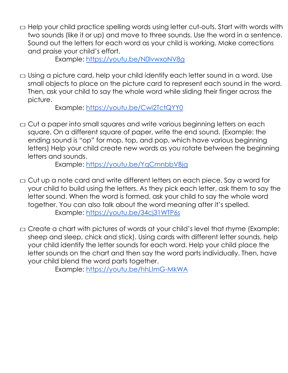$\Box$  Help your child practice spelling words using letter cut-outs. Start with words with two sounds (like it or up) and move to three sounds. Use the word in a sentence. Sound out the letters for each word as your child is working. Make corrections and praise your child's effort.

Example:<https://youtu.be/N0lvwxoNV8g>

 $\Box$  Using a picture card, help your child identify each letter sound in a word. Use small objects to place on the picture card to represent each sound in the word. Then, ask your child to say the whole word while sliding their finger across the picture.

Example:<https://youtu.be/Cwi2TctQYY0>

 $\Box$  Cut a paper into small squares and write various beginning letters on each square. On a different square of paper, write the end sound. (Example: the ending sound is "op" for mop, top, and pop, which have various beginning letters) Help your child create new words as you rotate between the beginning letters and sounds.

Example:<https://youtu.be/YqCmnbbVBjg>

- □ Cut up a note card and write different letters on each piece. Say a word for your child to build using the letters. As they pick each letter, ask them to say the letter sound. When the word is formed, ask your child to say the whole word together. You can also talk about the word meaning after it's spelled. Example:<https://youtu.be/34cj31WTP6s>
- $\square$  Create a chart with pictures of words at your child's level that rhyme (Example: sheep and sleep, chick and stick). Using cards with different letter sounds, help your child identify the letter sounds for each word. Help your child place the letter sounds on the chart and then say the word parts individually. Then, have your child blend the word parts together.

Example:<https://youtu.be/hhLImG-MkWA>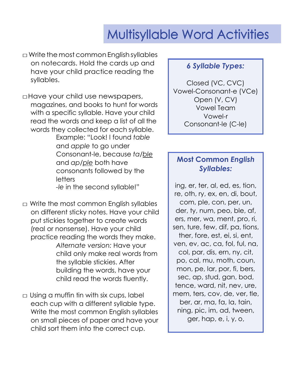### **Multisyllable Word Activities**

 $\Box$  Write the most common English syllables on notecards. Hold the cards up and have your child practice reading the syllables.

□Have your child use newspapers, magazines, and books to hunt for words with a specific syllable. Have your child read the words and keep a list of all the words they collected for each syllable.

Example: "Look! I found *table* and *apple* to go under Consonant-le, because *ta/ble* and *ap*/*ple* both have consonants followed by the letters *-le* in the second syllable!"

- $\Box$  Write the most common English syllables on different sticky notes. Have your child put stickies together to create words (real or nonsense). Have your child practice reading the words they make. *Alternate version:* Have your child only make real words from the syllable stickies. After building the words, have your child read the words fluently.
- $\Box$  Using a muffin tin with six cups, label each cup with a different syllable type. Write the most common English syllables on small pieces of paper and have your child sort them into the correct cup.

#### *6 Syllable Types:*

Closed (VC, CVC) Vowel-Consonant-e (VCe) Open (V, CV) Vowel Team Vowel-r Consonant-le (C-le)

### **Most Common** *English Syllables:*

ing, er, ter, al, ed, es, tion, re, oth, ry, ex, en, di, bout, com, ple, con, per, un, der, ty, num, peo, ble, af, ers, mer, wa, ment, pro, ri, sen, ture, few, dif, pa, tions, ther, fore, est, ei, si, ent, ven, ev, ac, ca, fol, ful, na, col, par, dis, ern, ny, cit, po, cal, mu, moth, coun, mon, pe, lar, por, fi, bers, sec, ap, stud, gan, bod, tence, ward, nit, nev, ure, mem, ters, cov, de, ver, tle, ber, ar, ma, fa, la, tain, ning, pic, im, ad, tween, ger, hap, e, i, y, o,